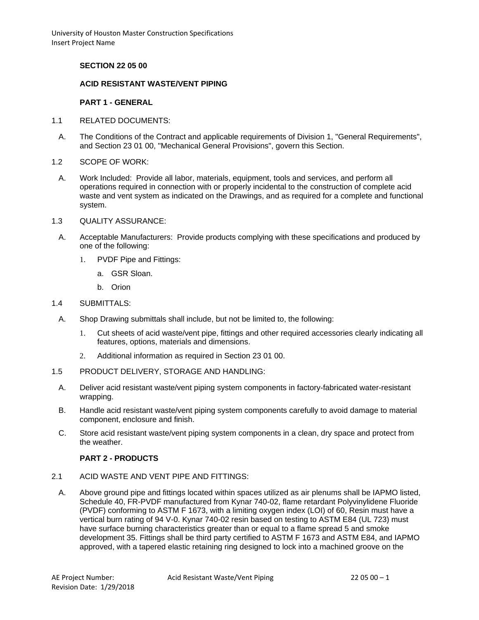University of Houston Master Construction Specifications Insert Project Name

# **SECTION 22 05 00**

### **ACID RESISTANT WASTE/VENT PIPING**

#### **PART 1 - GENERAL**

- 1.1 RELATED DOCUMENTS:
- A. The Conditions of the Contract and applicable requirements of Division 1, "General Requirements", and Section 23 01 00, "Mechanical General Provisions", govern this Section.
- 1.2 SCOPE OF WORK:
- A. Work Included: Provide all labor, materials, equipment, tools and services, and perform all operations required in connection with or properly incidental to the construction of complete acid waste and vent system as indicated on the Drawings, and as required for a complete and functional system.
- 1.3 QUALITY ASSURANCE:
	- A. Acceptable Manufacturers: Provide products complying with these specifications and produced by one of the following:
		- 1. PVDF Pipe and Fittings:
			- a. GSR Sloan.
			- b. Orion

### 1.4 SUBMITTALS:

- A. Shop Drawing submittals shall include, but not be limited to, the following:
	- 1. Cut sheets of acid waste/vent pipe, fittings and other required accessories clearly indicating all features, options, materials and dimensions.
	- 2. Additional information as required in Section 23 01 00.
- 1.5 PRODUCT DELIVERY, STORAGE AND HANDLING:
	- A. Deliver acid resistant waste/vent piping system components in factory-fabricated water-resistant wrapping.
	- B. Handle acid resistant waste/vent piping system components carefully to avoid damage to material component, enclosure and finish.
	- C. Store acid resistant waste/vent piping system components in a clean, dry space and protect from the weather.

#### **PART 2 - PRODUCTS**

- 2.1 ACID WASTE AND VENT PIPE AND FITTINGS:
	- A. Above ground pipe and fittings located within spaces utilized as air plenums shall be IAPMO listed, Schedule 40, FR-PVDF manufactured from Kynar 740-02, flame retardant Polyvinylidene Fluoride (PVDF) conforming to ASTM F 1673, with a limiting oxygen index (LOI) of 60, Resin must have a vertical burn rating of 94 V-0. Kynar 740-02 resin based on testing to ASTM E84 (UL 723) must have surface burning characteristics greater than or equal to a flame spread 5 and smoke development 35. Fittings shall be third party certified to ASTM F 1673 and ASTM E84, and IAPMO approved, with a tapered elastic retaining ring designed to lock into a machined groove on the